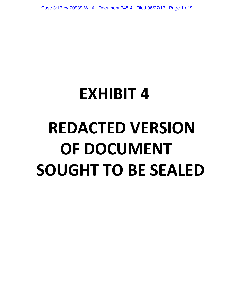# **EXHIBIT 4 REDACTED VERSION OF DOCUMENT SOUGHT TO BE SEALED**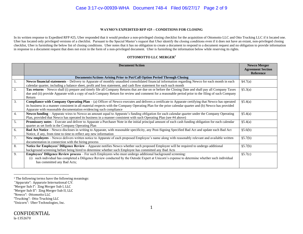#### Case 3:17-cv-00939-WHA Document 748-4 Filed 06/27/17 Page 2 of 9

#### **WAYMO'S EXPEDITED RFP #25 – CONDITIONS FOR CLOSING**

In its written response to Expedited RFP #25, Uber responded that it would produce a non-privileged closing checklist for the acquisition of Ottomotto LLC and Otto Trucking LLC if it located one. Uber has located only privileged versions of a checklist. Pursuant to the Special Master's request that Uber identify the closing conditions even if it does not have an extant, non-privileged closing checklist, Uber is furnishing the below list of closing conditions. Uber notes that it has no obligation to create a document to respond to a document request and no obligation to provide information in response to a document request that does not exist in the form of a non-privileged document. Uber is furnishing the information below while reserving its rights.

#### **OTTOMOTTO LLC MERGER<sup>1</sup>**

|                  | <b>Document/Action</b>                                                                                                                                       | <b>Newco Merger</b>      |
|------------------|--------------------------------------------------------------------------------------------------------------------------------------------------------------|--------------------------|
|                  |                                                                                                                                                              | <b>Agreement Section</b> |
|                  |                                                                                                                                                              | <b>Reference</b>         |
|                  | Documents/Actions Arising Prior to Put/Call Option Period Through Closing                                                                                    |                          |
| -1.              | Newco financial statements - Delivery to Apparate of monthly unaudited consolidated financial information regarding Newco for each month in each             | §4.7(a)                  |
|                  | calendar quarter, including a balance sheet, profit and loss statement, and cash flow statement for each such month                                          |                          |
| $\overline{2}$ . | Tax returns - Newco shall (i) prepare and timely file all Company Returns that are due on or before the Closing Date and shall pay all Company Taxes         | §5.3(a)                  |
|                  | due and (ii) provide Apparate with a copy of each Company Return for review and comment for a reasonable period prior to the filing of such Company          |                          |
|                  | Return                                                                                                                                                       |                          |
| $\overline{3}$ . | Compliance with Company Operating Plan - (a) Officer of Newco executes and delivers a certificate to Apparate certifying that Newco has operated             | §5.4(a)                  |
|                  | its business in a manner consistent in all material respects with the Company Operating Plan for the prior calendar quarter and (b) Newco has provided       |                          |
|                  | Apparate with reasonable documentation evidencing such compliance                                                                                            |                          |
| 4.               | Newco funding - Apparate wires to Newco an amount equal to Apparate's funding obligation for each calendar quarter under the Company Operating               | §5.4(a)                  |
|                  | Plan, provided that Newco has operated its business in a manner consistent with such Operating Plan (see #4 above)                                           |                          |
| $\overline{5}$ . | <b>Promissory notes</b> – Execute and deliver to Apparate a Purchaser Note in the initial principal amount of each cash funding obligation for each calendar | §5.4(a)                  |
|                  | quarter as set forth in the Company Operating Plan                                                                                                           |                          |
| 6.               | Bad Act Notice – Newco discloses in writing to Apparate, with reasonable specificity, any Post-Signing Specified Bad Act and update each Bad Act             | §5.6(b)                  |
|                  | Notice, if any, from time to time to reflect any new information                                                                                             |                          |
| 7.               | New employees – Newco delivers written notice to Apparate of each proposed Employee's name along with reasonably relevant and available written              | §5.7(b)                  |
|                  | documentation in connection with the hiring process                                                                                                          |                          |
| 8.               | Notice for Employees' Diligence Review - Apparate notifies Newco whether such proposed Employee will be required to undergo additional                       | §5.7(b)                  |
|                  | background screening before being hired to determine whether such Employee has committed any Bad Acts                                                        |                          |
| 9.               | <b>Employees' Diligence Review process</b> – For such Employees who must undergo additional background screening:                                            | §5.7(c)                  |
|                  | such individual has completed a Diligence Review conducted by the Outside Expert at Unicorn's expense to determine whether such individual<br>(1)            |                          |
|                  | has committed any Bad Acts;                                                                                                                                  |                          |
|                  |                                                                                                                                                              |                          |

<sup>&</sup>lt;sup>1</sup> The following terms have the following meanings:

 $\overline{a}$ 

"Trucking": Otto Trucking LLC

<sup>&</sup>quot;Apparate": Apparate International C.V.

<sup>&</sup>quot;Merger Sub I": Zing Merger Sub I, LLC

<sup>&</sup>quot;Merger Sub II": Zing Merger Sub II, LLC

<sup>&</sup>quot;Newco": Ottomotto LLC

<sup>&</sup>quot;Unicorn": Uber Technologies, Inc.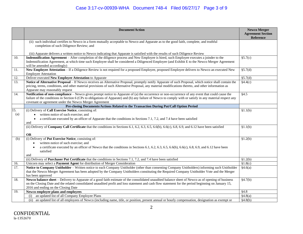|     | <b>Document/Action</b>                                                                                                                                                                                                                                                                                                                                                   | <b>Newco Merger</b><br><b>Agreement Section</b> |
|-----|--------------------------------------------------------------------------------------------------------------------------------------------------------------------------------------------------------------------------------------------------------------------------------------------------------------------------------------------------------------------------|-------------------------------------------------|
|     |                                                                                                                                                                                                                                                                                                                                                                          | <b>Reference</b>                                |
|     | (ii) such individual certifies to Newco in a form mutually acceptable to Newco and Apparate as to the good faith, complete, and truthful<br>completion of such Diligence Review; and                                                                                                                                                                                     |                                                 |
|     | (iii) Apparate delivers a written notice to Newco indicating that Apparate is satisfied with the results of such Diligence Review                                                                                                                                                                                                                                        |                                                 |
| 10. | Indemnification Agreement – After completion of the diligence process and New Employee is hired, such Employee executes a joinder to the<br>Indemnification Agreement, at which time such Employee shall be considered a Diligenced Employee (and Exhibit E to the Newco Merger Agreement<br>will be amended accordingly)                                                | $\sqrt{$5.7(c)}$                                |
| 11. | New Employee Attestation - If a Diligence Review is not required for a proposed Employee, proposed Employee delivers to Newco an executed New<br><b>Employee Attestation</b>                                                                                                                                                                                             | §5.7(d)                                         |
| 12. | Deliver executed New Employee Attestation to Apparate                                                                                                                                                                                                                                                                                                                    | §5.7(d)                                         |
| 13. | Notice of Alternative Proposal - If Newco receives an Alternative Proposal, promptly notify Apparate of such Proposal, which notice shall contain the<br>pricing, terms, conditions, and other material provisions of such Alternative Proposal, any material modifications thereto, and other information as<br>Apparate may reasonably request                         | §4.4(c)                                         |
| 14. | Notification of non-compliance – Newco gives prompt notice to Apparate of (a) the occurrence or non-occurrence of any event that could cause the<br>failure of the conditions in Section 6 (CPs to obligations of Apparate) and (b) any failure of Newco to comply with or satisfy in any material respect any<br>covenant or agreement under the Newco Merger Agreement | $\sqrt{$4.5}$                                   |
|     | Pre-closing Documents/Actions Related to the Transaction During Put/Call Option Period                                                                                                                                                                                                                                                                                   |                                                 |
| 15. | (i) Delivery of Call Exercise Notice, consisting of:                                                                                                                                                                                                                                                                                                                     | \$1.1(b)                                        |
| (a) | written notice of such exercise; and<br>$\bullet$<br>a certificate executed by an officer of Apparate that the conditions in Sections 7.1, 7.2, and 7.4 have been satisfied<br>$\bullet$<br>and                                                                                                                                                                          |                                                 |
|     | (ii) Delivery of Company Call Certificate that the conditions in Sections 6.1, 6.2, 6.3, 6.5, 6.6(b), 6.6(c), 6.8, 6.9, and 6.12 have been satisfied<br><b>OR</b>                                                                                                                                                                                                        | §1.1(b)                                         |
| (b) | (i) Delivery of Put Exercise Notice, consisting of:                                                                                                                                                                                                                                                                                                                      | \$1.2(b)                                        |
|     | written notice of such exercise; and<br>$\bullet$                                                                                                                                                                                                                                                                                                                        |                                                 |
|     | a certificate executed by an officer of Newco that the conditions in Sections 6.1, 6.2, 6.3, 6.5, 6.6(b), 6.6(c), 6.8, 6.9, and 6.12 have been<br>satisfied<br>and                                                                                                                                                                                                       |                                                 |
|     | (ii) Delivery of Purchaser Put Certificate that the conditions in Sections 7.1, 7.2, and 7.4 have been satisfied                                                                                                                                                                                                                                                         | \$1.2(b)                                        |
| 16. | Unicorn may select a Payment Agent for distribution of Merger Consideration                                                                                                                                                                                                                                                                                              | \$1.8(c)                                        |
| 17. | Notice to Company Unitholder - Written notice to each Company Unitholder (other than consenting Company Unitholders) informing such Unitholder<br>that the Newco Merger Agreement has been adopted by the Company Unitholders constituting the Required Company Unitholder Vote and the Merger<br>has been approved                                                      | §4.6(a)                                         |
| 18. | Newco balance sheet – Delivery to Apparate of a good faith estimate of the consolidated unaudited balance sheet of Newco as of opening of business<br>on the Closing Date and the related consolidated unaudited profit and loss statement and cash flow statement for the period beginning on January 15,<br>2016 and ending on the Closing Date                        | §4.7(b)                                         |
| 19. | Newco employee plans and employees                                                                                                                                                                                                                                                                                                                                       | §4.8                                            |
|     | an updated list of all Company Employee Plans<br>(i)                                                                                                                                                                                                                                                                                                                     | §4.8(a)                                         |
|     | (ii)<br>an updated list of all employees of Newco (including name, title, or position, present annual or hourly compensation, designation as exempt or                                                                                                                                                                                                                   | §4.8(b)                                         |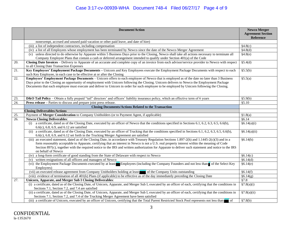# Case 3:17-cv-00939-WHA Document 748-4 Filed 06/27/17 Page 4 of 9

|     | <b>Document/Action</b>                                                                                                                                                                                   | <b>Newco Merger</b>      |
|-----|----------------------------------------------------------------------------------------------------------------------------------------------------------------------------------------------------------|--------------------------|
|     |                                                                                                                                                                                                          | <b>Agreement Section</b> |
|     |                                                                                                                                                                                                          | Reference                |
|     | nonexempt, accrued and unused paid vacation or other paid leave, and date of hire)                                                                                                                       |                          |
|     | (iii) a list of independent contractors, including compensation                                                                                                                                          | $\sqrt[3]{4.8(c)}$       |
|     | (iv) a list of all Employees whose employment has been terminated by Newco since the date of the Newco Merger Agreement                                                                                  | §4.8(d)                  |
|     | unless directed to do otherwise by Apparate within 5 Business Days prior to the Closing, Newco shall take all actions necessary to terminate all<br>(v)                                                  | §4.8(e)                  |
|     | Company Employee Plans that contain a cash or deferred arrangement intended to qualify under Section 401(a) of the Code                                                                                  |                          |
| 20. | Closing Date Invoices – Delivery to Apparate of an accurate and complete copy of an invoice from each advisor/service provider to Newco with respect                                                     | §5.4(d)                  |
|     | to all Closing Date Transaction Expenses                                                                                                                                                                 |                          |
| 21. | Key Employees' Employment Package Documents – Unicorn and Key Employees execute the Employment Package Documents with respect to each                                                                    | \$5.5(b)                 |
|     | such Key Employee, in each case to be effective at or after the Closing                                                                                                                                  |                          |
| 22. | Employees' Employment Package Documents – Unicorn offers to each employee of Newco that is employed as of the date no later than 3 Business                                                              | §5.5(a)                  |
|     | Days prior to the Closing an opportunity of employment with Unicorn following the Closing. Unicorn delivers to Newco the Employment Package                                                              |                          |
|     | Documents that each employee must execute and deliver to Unicorn in order for such employee to be employed by Unicorn following the Closing.                                                             |                          |
|     |                                                                                                                                                                                                          |                          |
|     |                                                                                                                                                                                                          |                          |
| 23. | <b>D&amp;O Tail Policy</b> – Obtain a fully prepaid "tail" directors' and officers' liability insurance policy, which an effective term of 6 years                                                       | §5.9(b)                  |
| 24. | <b>Press release</b> – Parties to discuss and prepare joint press release.                                                                                                                               | §5.10                    |
|     | <b>Closing Documents/Actions Related to the Transaction</b>                                                                                                                                              |                          |
|     | <b>Closing Deliverables/Actions</b>                                                                                                                                                                      |                          |
| 25. | Payment of Merger Consideration to Company Unitholders (or to Payment Agent, if applicable)                                                                                                              | \$1.8(a)                 |
| 26. | <b>Newco Closing Deliverables:</b>                                                                                                                                                                       | §6.14                    |
|     | a certificate, dated as of the Closing Date, executed by an officer of Newco that the conditions specified in Sections 6.1, 6.2, 6.3, 6.5, 6.6(b),<br>(i)<br>$6.6(c)$ , 6.8, 6.9, and 6.12 are satisfied | §6.14(a)(i)              |
|     | (ii) a certificate, dated as of the Closing Date, executed by an officer of Trucking that the conditions specified in Sections 6.1, 6.2, 6.3, 6.5, 6.6(b),                                               | §6.14(a)(ii)             |
|     | 6.6(c), 6.8, 6.9, and 6.12 set forth in the Trucking Merger Agreement are satisfied                                                                                                                      |                          |
|     | (iii) an executed statement, dated as of the Closing Date, in accordance with Treasury Regulation Sections 1.897-2(h) and 1.1445-2(c)(3) and in a                                                        | §6.14(b)                 |
|     | form reasonably acceptable to Apparate, certifying that an interest in Newco is not a U.S. real property interest within the meaning of Code                                                             |                          |
|     | Section 897(c), together with the required notice to the IRS and written authorization for Apparate to deliver such statement and notice to the IRS                                                      |                          |
|     | on behalf of Newco                                                                                                                                                                                       |                          |
|     | (iv) a long-form certificate of good standing from the State of Delaware with respect to Newco                                                                                                           | §6.14(c)                 |
|     | written resignations of all officers and managers of Newco<br>(v)                                                                                                                                        | §6.14(d)                 |
|     | (vi) the Employment Package Documents executed by at least Employees (including the Company Founders and not less than of the Select Key<br>Employees)                                                   | §6.14(e)                 |
|     | (vii) an executed release agreement from Company Unitholders holding at least<br>of the Company Units outstanding                                                                                        | §6.14(f)                 |
|     | (viii) evidence of termination of all 401(k) Plans (if applicable) to be effective as of the day immediately preceding the Closing Date                                                                  | §6.14(g)                 |
| 27. | Unicorn, Apparate, and Merger Sub I Closing Deliverables:                                                                                                                                                | §7.8                     |
|     | (i) a certificate, dated as of the Closing Date, of Unicorn, Apparate, and Merger Sub I, executed by an officer of each, certifying that the conditions in                                               | §7.8(a)(i)               |
|     | Sections 7.1, Section 7.2, and 7.4 are satisfied                                                                                                                                                         |                          |
|     | (ii) a certificate, dated as of the Closing Date, of Unicorn, Apparate, and Merger Sub I, executed by an officer of each, certifying that the conditions in                                              | $\sqrt[5]{(3.8(a)(ii)}$  |
|     | Sections 7.1, Section 7.2, and 7.4 of the Trucking Merger Agreement have been satisfied                                                                                                                  |                          |
|     | (iii) a certificate of Unicorn, executed by an officer of Unicorn, certifying that the Total Parent Restricted Stock Pool represents not less than                                                       | §7.8(b)                  |
|     |                                                                                                                                                                                                          |                          |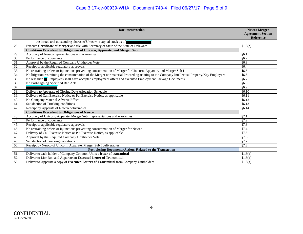# Case 3:17-cv-00939-WHA Document 748-4 Filed 06/27/17 Page 5 of 9

|     | <b>Document/Action</b>                                                                                                                       | <b>Newco Merger</b><br><b>Agreement Section</b><br><b>Reference</b> |
|-----|----------------------------------------------------------------------------------------------------------------------------------------------|---------------------------------------------------------------------|
|     | the issued and outstanding shares of Unicorn's capital stock as of                                                                           |                                                                     |
| 28. | Execute Certificate of Merger and file with Secretary of State of the State of Delaware                                                      | §1.3(b)                                                             |
|     | <b>Conditions Precedent to Obligations of Unicorn, Apparate, and Merger Sub I</b>                                                            |                                                                     |
| 29. | Accuracy of Newco representations and warranties                                                                                             | §6.1                                                                |
| 30. | Performance of covenants                                                                                                                     | §6.2                                                                |
| 31. | Approval by the Required Company Unitholder Vote                                                                                             | §6.3                                                                |
| 32. | Receipt of applicable regulatory approvals                                                                                                   | §6.4                                                                |
| 33. | No restraining orders or injunctions preventing consummation of Merger for Unicorn, Apparate, and Merger Sub I                               | §6.5                                                                |
| 34. | No litigation restraining the consummation of the Merger nor material Proceeding relating to the Company Intellectual Property/Key Employees | §6.6                                                                |
| 35. | No less than Employees shall have accepted employment offers and executed Employment Package Documents                                       | §6.7                                                                |
| 36. | No Post-Signing Specified Bad Acts                                                                                                           | §6.8                                                                |
| 37. |                                                                                                                                              | §6.9                                                                |
| 38. | Delivery to Apparate of Closing Date Allocation Schedule                                                                                     | §6.10                                                               |
| 39. | Delivery of Call Exercise Notice or Put Exercise Notice, as applicable                                                                       | §6.11                                                               |
| 40. | No Company Material Adverse Effect                                                                                                           | §6.12                                                               |
| 41. | Satisfaction of Trucking conditions                                                                                                          | §6.13                                                               |
| 42. | Receipt by Apparate of Newco deliverables                                                                                                    | §6.14                                                               |
|     | <b>Conditions Precedent to Obligations of Newco</b>                                                                                          |                                                                     |
| 43. | Accuracy of Unicorn, Apparate, Merger Sub I representations and warranties                                                                   | §7.1                                                                |
| 44. | Performance of covenants                                                                                                                     | §7.2                                                                |
| 45. | Receipt of applicable regulatory approvals                                                                                                   | §7.3                                                                |
| 46. | No restraining orders or injunctions preventing consummation of Merger for Newco                                                             | §7.4                                                                |
| 47. | Delivery of Call Exercise Notice or Put Exercise Notice, as applicable                                                                       | §7.5                                                                |
| 48. | Approval by the Required Company Unitholder Vote                                                                                             | §7.6                                                                |
| 49. | Satisfaction of Trucking conditions                                                                                                          | §7.7                                                                |
| 50. | Receipt by Newco of Unicorn, Apparate, Merger Sub I deliverables                                                                             | §7.8                                                                |
|     | Post-closing Documents/Actions Related to the Transaction                                                                                    |                                                                     |
| 51. | Deliver to each holder of Company Common Units a letter of transmittal                                                                       | \$1.8(a)                                                            |
| 52. | Deliver to Lior Ron and Apparate an Executed Letter of Transmittal                                                                           | \$1.8(a)                                                            |
| 53. | Deliver to Apparate a copy of Executed Letters of Transmittal from Company Unitholders                                                       | §1.8(a)                                                             |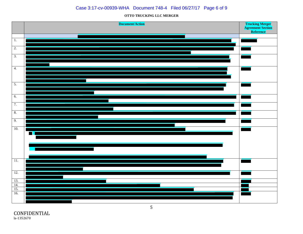#### Case 3:17-cv-00939-WHA Document 748-4 Filed 06/27/17 Page 6 of 9

#### **OTTO TRUCKING LLC MERGER**



CONFIDENTIAL la-1352670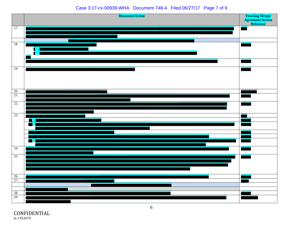#### Case 3:17-cv-00939-WHA Document 748-4 Filed 06/27/17 Page 7 of 9



CONFIDENTIAL la-1352670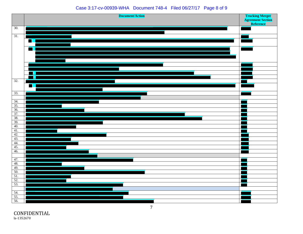#### Case 3:17-cv-00939-WHA Document 748-4 Filed 06/27/17 Page 8 of 9



CONFIDENTIAL la-1352670